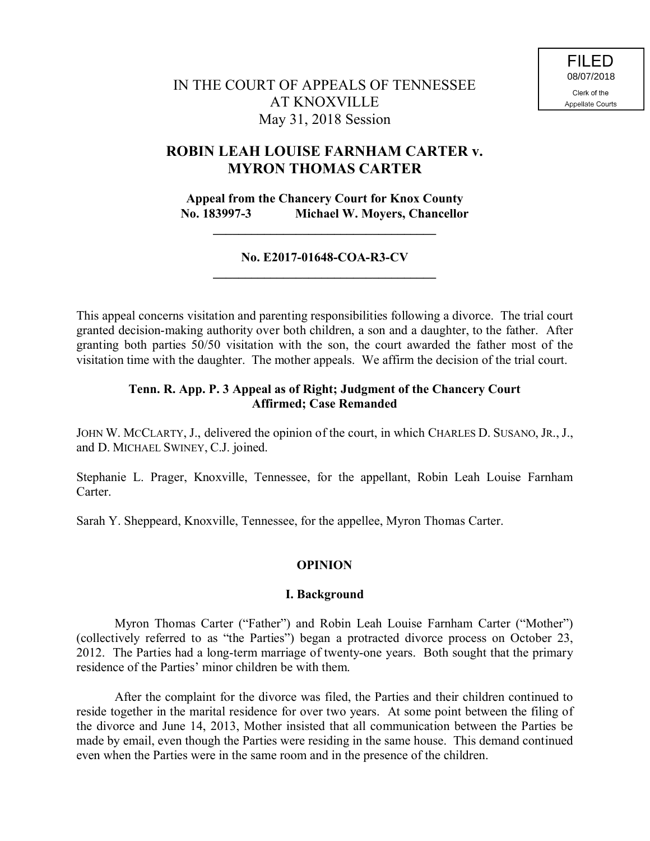# IN THE COURT OF APPEALS OF TENNESSEE AT KNOXVILLE May 31, 2018 Session

# **ROBIN LEAH LOUISE FARNHAM CARTER v. MYRON THOMAS CARTER**

**Appeal from the Chancery Court for Knox County No. 183997-3 Michael W. Moyers, Chancellor**

**\_\_\_\_\_\_\_\_\_\_\_\_\_\_\_\_\_\_\_\_\_\_\_\_\_\_\_\_\_\_\_\_\_\_\_**

## **No. E2017-01648-COA-R3-CV \_\_\_\_\_\_\_\_\_\_\_\_\_\_\_\_\_\_\_\_\_\_\_\_\_\_\_\_\_\_\_\_\_\_\_**

This appeal concerns visitation and parenting responsibilities following a divorce. The trial court granted decision-making authority over both children, a son and a daughter, to the father. After granting both parties 50/50 visitation with the son, the court awarded the father most of the visitation time with the daughter. The mother appeals. We affirm the decision of the trial court.

## **Tenn. R. App. P. 3 Appeal as of Right; Judgment of the Chancery Court Affirmed; Case Remanded**

JOHN W. MCCLARTY, J., delivered the opinion of the court, in which CHARLES D. SUSANO, JR., J., and D. MICHAEL SWINEY, C.J. joined.

Stephanie L. Prager, Knoxville, Tennessee, for the appellant, Robin Leah Louise Farnham **Carter** 

Sarah Y. Sheppeard, Knoxville, Tennessee, for the appellee, Myron Thomas Carter.

## **OPINION**

### **I. Background**

Myron Thomas Carter ("Father") and Robin Leah Louise Farnham Carter ("Mother") (collectively referred to as "the Parties") began a protracted divorce process on October 23, 2012. The Parties had a long-term marriage of twenty-one years. Both sought that the primary residence of the Parties' minor children be with them.

After the complaint for the divorce was filed, the Parties and their children continued to reside together in the marital residence for over two years. At some point between the filing of the divorce and June 14, 2013, Mother insisted that all communication between the Parties be made by email, even though the Parties were residing in the same house. This demand continued even when the Parties were in the same room and in the presence of the children.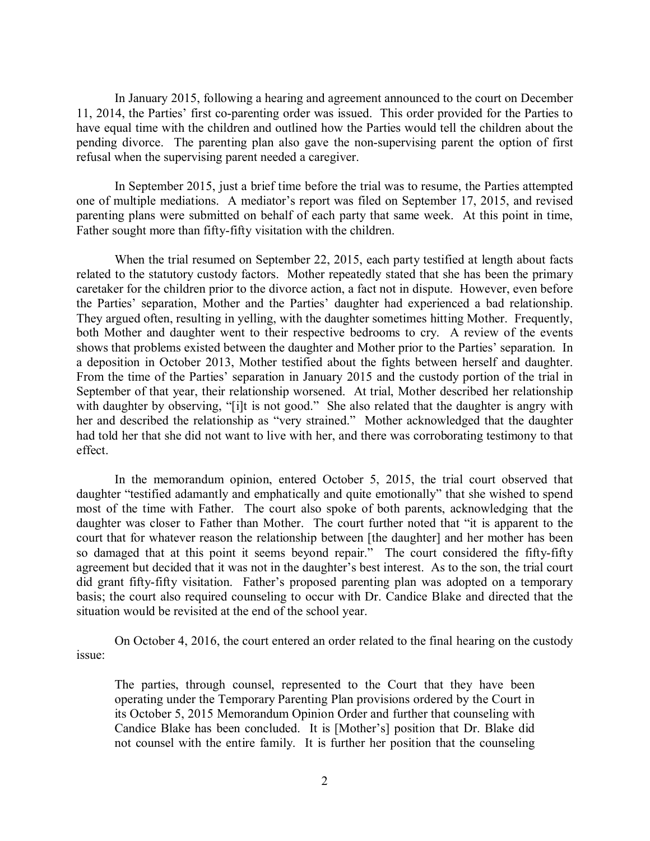In January 2015, following a hearing and agreement announced to the court on December 11, 2014, the Parties' first co-parenting order was issued. This order provided for the Parties to have equal time with the children and outlined how the Parties would tell the children about the pending divorce. The parenting plan also gave the non-supervising parent the option of first refusal when the supervising parent needed a caregiver.

In September 2015, just a brief time before the trial was to resume, the Parties attempted one of multiple mediations. A mediator's report was filed on September 17, 2015, and revised parenting plans were submitted on behalf of each party that same week. At this point in time, Father sought more than fifty-fifty visitation with the children.

When the trial resumed on September 22, 2015, each party testified at length about facts related to the statutory custody factors. Mother repeatedly stated that she has been the primary caretaker for the children prior to the divorce action, a fact not in dispute. However, even before the Parties' separation, Mother and the Parties' daughter had experienced a bad relationship. They argued often, resulting in yelling, with the daughter sometimes hitting Mother. Frequently, both Mother and daughter went to their respective bedrooms to cry. A review of the events shows that problems existed between the daughter and Mother prior to the Parties' separation. In a deposition in October 2013, Mother testified about the fights between herself and daughter. From the time of the Parties' separation in January 2015 and the custody portion of the trial in September of that year, their relationship worsened. At trial, Mother described her relationship with daughter by observing, "[i]t is not good." She also related that the daughter is angry with her and described the relationship as "very strained." Mother acknowledged that the daughter had told her that she did not want to live with her, and there was corroborating testimony to that effect.

In the memorandum opinion, entered October 5, 2015, the trial court observed that daughter "testified adamantly and emphatically and quite emotionally" that she wished to spend most of the time with Father. The court also spoke of both parents, acknowledging that the daughter was closer to Father than Mother. The court further noted that "it is apparent to the court that for whatever reason the relationship between [the daughter] and her mother has been so damaged that at this point it seems beyond repair." The court considered the fifty-fifty agreement but decided that it was not in the daughter's best interest. As to the son, the trial court did grant fifty-fifty visitation. Father's proposed parenting plan was adopted on a temporary basis; the court also required counseling to occur with Dr. Candice Blake and directed that the situation would be revisited at the end of the school year.

On October 4, 2016, the court entered an order related to the final hearing on the custody issue:

The parties, through counsel, represented to the Court that they have been operating under the Temporary Parenting Plan provisions ordered by the Court in its October 5, 2015 Memorandum Opinion Order and further that counseling with Candice Blake has been concluded. It is [Mother's] position that Dr. Blake did not counsel with the entire family. It is further her position that the counseling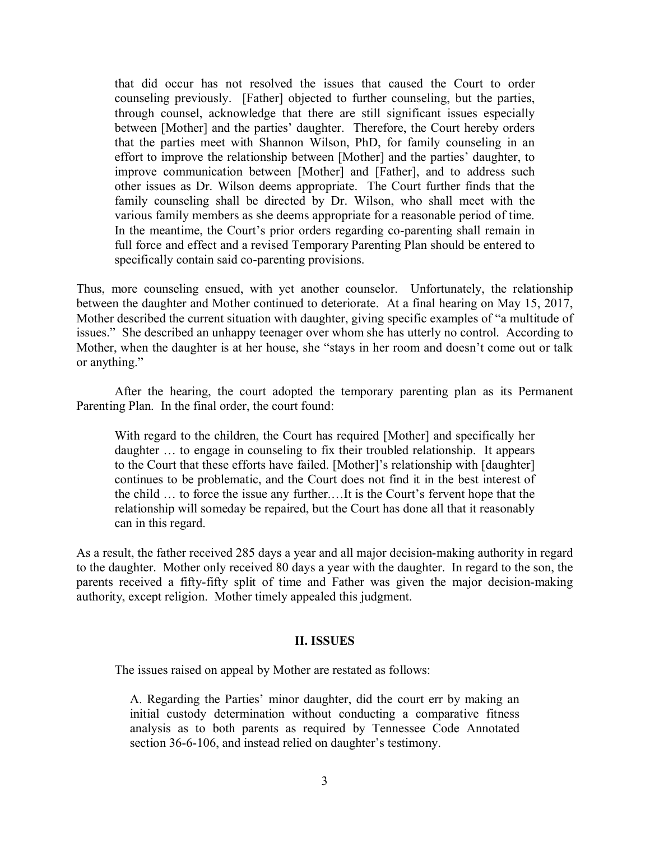that did occur has not resolved the issues that caused the Court to order counseling previously. [Father] objected to further counseling, but the parties, through counsel, acknowledge that there are still significant issues especially between [Mother] and the parties' daughter. Therefore, the Court hereby orders that the parties meet with Shannon Wilson, PhD, for family counseling in an effort to improve the relationship between [Mother] and the parties' daughter, to improve communication between [Mother] and [Father], and to address such other issues as Dr. Wilson deems appropriate. The Court further finds that the family counseling shall be directed by Dr. Wilson, who shall meet with the various family members as she deems appropriate for a reasonable period of time. In the meantime, the Court's prior orders regarding co-parenting shall remain in full force and effect and a revised Temporary Parenting Plan should be entered to specifically contain said co-parenting provisions.

Thus, more counseling ensued, with yet another counselor. Unfortunately, the relationship between the daughter and Mother continued to deteriorate. At a final hearing on May 15, 2017, Mother described the current situation with daughter, giving specific examples of "a multitude of issues." She described an unhappy teenager over whom she has utterly no control. According to Mother, when the daughter is at her house, she "stays in her room and doesn't come out or talk or anything."

After the hearing, the court adopted the temporary parenting plan as its Permanent Parenting Plan. In the final order, the court found:

With regard to the children, the Court has required [Mother] and specifically her daughter … to engage in counseling to fix their troubled relationship. It appears to the Court that these efforts have failed. [Mother]'s relationship with [daughter] continues to be problematic, and the Court does not find it in the best interest of the child … to force the issue any further.…It is the Court's fervent hope that the relationship will someday be repaired, but the Court has done all that it reasonably can in this regard.

As a result, the father received 285 days a year and all major decision-making authority in regard to the daughter. Mother only received 80 days a year with the daughter. In regard to the son, the parents received a fifty-fifty split of time and Father was given the major decision-making authority, except religion. Mother timely appealed this judgment.

## **II. ISSUES**

The issues raised on appeal by Mother are restated as follows:

A. Regarding the Parties' minor daughter, did the court err by making an initial custody determination without conducting a comparative fitness analysis as to both parents as required by Tennessee Code Annotated section 36-6-106, and instead relied on daughter's testimony.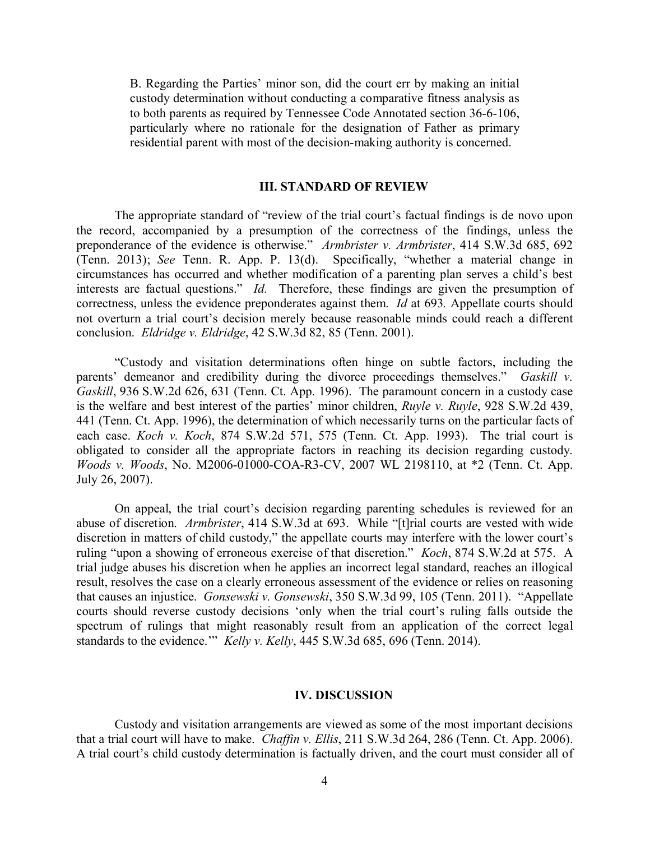B. Regarding the Parties' minor son, did the court err by making an initial custody determination without conducting a comparative fitness analysis as to both parents as required by Tennessee Code Annotated section 36-6-106, particularly where no rationale for the designation of Father as primary residential parent with most of the decision-making authority is concerned.

#### **III. STANDARD OF REVIEW**

The appropriate standard of "review of the trial court's factual findings is de novo upon the record, accompanied by a presumption of the correctness of the findings, unless the preponderance of the evidence is otherwise." *Armbrister v. Armbrister*, 414 S.W.3d 685, 692 (Tenn. 2013); *See* Tenn. R. App. P. 13(d). Specifically, "whether a material change in circumstances has occurred and whether modification of a parenting plan serves a child's best interests are factual questions." *Id.* Therefore, these findings are given the presumption of correctness, unless the evidence preponderates against them. *Id* at 693*.* Appellate courts should not overturn a trial court's decision merely because reasonable minds could reach a different conclusion. *Eldridge v. Eldridge*, 42 S.W.3d 82, 85 (Tenn. 2001).

"Custody and visitation determinations often hinge on subtle factors, including the parents' demeanor and credibility during the divorce proceedings themselves." *Gaskill v. Gaskill*, 936 S.W.2d 626, 631 (Tenn. Ct. App. 1996). The paramount concern in a custody case is the welfare and best interest of the parties' minor children, *Ruyle v. Ruyle*, 928 S.W.2d 439, 441 (Tenn. Ct. App. 1996), the determination of which necessarily turns on the particular facts of each case. *Koch v. Koch*, 874 S.W.2d 571, 575 (Tenn. Ct. App. 1993). The trial court is obligated to consider all the appropriate factors in reaching its decision regarding custody. *Woods v. Woods*, No. M2006-01000-COA-R3-CV, 2007 WL 2198110, at \*2 (Tenn. Ct. App. July 26, 2007).

On appeal, the trial court's decision regarding parenting schedules is reviewed for an abuse of discretion. *Armbrister*, 414 S.W.3d at 693. While "[t]rial courts are vested with wide discretion in matters of child custody," the appellate courts may interfere with the lower court's ruling "upon a showing of erroneous exercise of that discretion." *Koch*, 874 S.W.2d at 575. A trial judge abuses his discretion when he applies an incorrect legal standard, reaches an illogical result, resolves the case on a clearly erroneous assessment of the evidence or relies on reasoning that causes an injustice. *Gonsewski v. Gonsewski*, 350 S.W.3d 99, 105 (Tenn. 2011). "Appellate courts should reverse custody decisions 'only when the trial court's ruling falls outside the spectrum of rulings that might reasonably result from an application of the correct legal standards to the evidence.'" *Kelly v. Kelly*, 445 S.W.3d 685, 696 (Tenn. 2014).

#### **IV. DISCUSSION**

Custody and visitation arrangements are viewed as some of the most important decisions that a trial court will have to make. *Chaffin v. Ellis*, 211 S.W.3d 264, 286 (Tenn. Ct. App. 2006). A trial court's child custody determination is factually driven, and the court must consider all of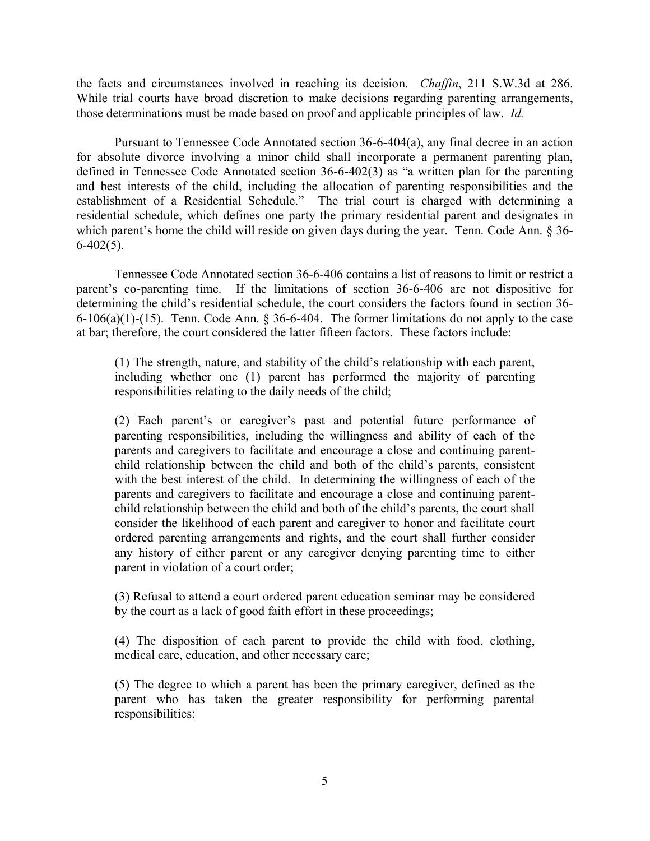the facts and circumstances involved in reaching its decision. *Chaffin*, 211 S.W.3d at 286. While trial courts have broad discretion to make decisions regarding parenting arrangements, those determinations must be made based on proof and applicable principles of law. *Id.*

Pursuant to Tennessee Code Annotated section 36-6-404(a), any final decree in an action for absolute divorce involving a minor child shall incorporate a permanent parenting plan, defined in Tennessee Code Annotated section 36-6-402(3) as "a written plan for the parenting and best interests of the child, including the allocation of parenting responsibilities and the establishment of a Residential Schedule." The trial court is charged with determining a residential schedule, which defines one party the primary residential parent and designates in which parent's home the child will reside on given days during the year. Tenn. Code Ann. § 36- $6-402(5)$ .

Tennessee Code Annotated section 36-6-406 contains a list of reasons to limit or restrict a parent's co-parenting time. If the limitations of section 36-6-406 are not dispositive for determining the child's residential schedule, the court considers the factors found in section 36-  $6-106(a)(1)-(15)$ . Tenn. Code Ann. § 36-6-404. The former limitations do not apply to the case at bar; therefore, the court considered the latter fifteen factors. These factors include:

(1) The strength, nature, and stability of the child's relationship with each parent, including whether one (1) parent has performed the majority of parenting responsibilities relating to the daily needs of the child;

(2) Each parent's or caregiver's past and potential future performance of parenting responsibilities, including the willingness and ability of each of the parents and caregivers to facilitate and encourage a close and continuing parentchild relationship between the child and both of the child's parents, consistent with the best interest of the child. In determining the willingness of each of the parents and caregivers to facilitate and encourage a close and continuing parentchild relationship between the child and both of the child's parents, the court shall consider the likelihood of each parent and caregiver to honor and facilitate court ordered parenting arrangements and rights, and the court shall further consider any history of either parent or any caregiver denying parenting time to either parent in violation of a court order;

(3) Refusal to attend a court ordered parent education seminar may be considered by the court as a lack of good faith effort in these proceedings;

(4) The disposition of each parent to provide the child with food, clothing, medical care, education, and other necessary care;

(5) The degree to which a parent has been the primary caregiver, defined as the parent who has taken the greater responsibility for performing parental responsibilities;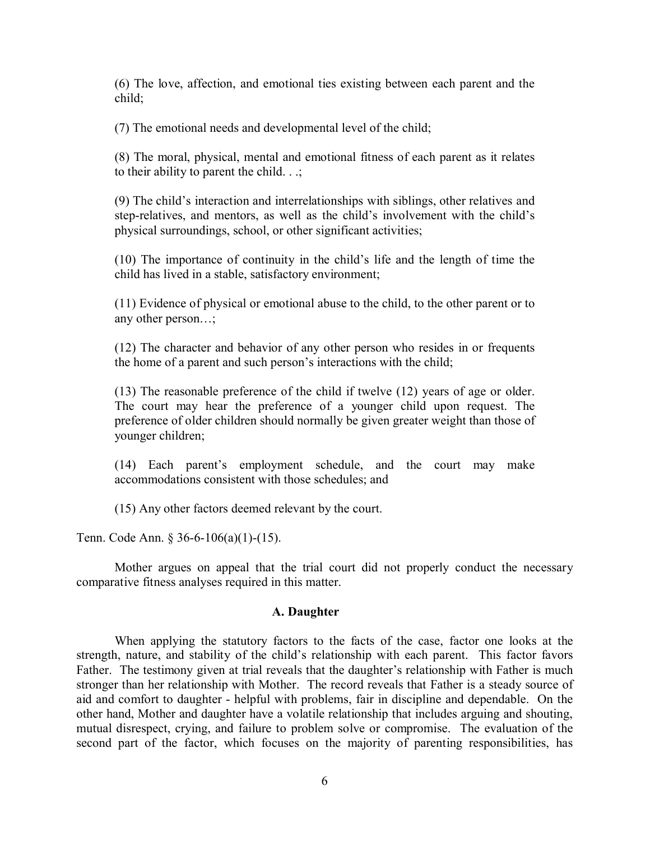(6) The love, affection, and emotional ties existing between each parent and the child;

(7) The emotional needs and developmental level of the child;

(8) The moral, physical, mental and emotional fitness of each parent as it relates to their ability to parent the child.  $\therefore$ 

(9) The child's interaction and interrelationships with siblings, other relatives and step-relatives, and mentors, as well as the child's involvement with the child's physical surroundings, school, or other significant activities;

(10) The importance of continuity in the child's life and the length of time the child has lived in a stable, satisfactory environment;

(11) Evidence of physical or emotional abuse to the child, to the other parent or to any other person…;

(12) The character and behavior of any other person who resides in or frequents the home of a parent and such person's interactions with the child;

(13) The reasonable preference of the child if twelve (12) years of age or older. The court may hear the preference of a younger child upon request. The preference of older children should normally be given greater weight than those of younger children;

(14) Each parent's employment schedule, and the court may make accommodations consistent with those schedules; and

(15) Any other factors deemed relevant by the court.

Tenn. Code Ann. § 36-6-106(a)(1)-(15).

Mother argues on appeal that the trial court did not properly conduct the necessary comparative fitness analyses required in this matter.

### **A. Daughter**

When applying the statutory factors to the facts of the case, factor one looks at the strength, nature, and stability of the child's relationship with each parent. This factor favors Father. The testimony given at trial reveals that the daughter's relationship with Father is much stronger than her relationship with Mother. The record reveals that Father is a steady source of aid and comfort to daughter - helpful with problems, fair in discipline and dependable. On the other hand, Mother and daughter have a volatile relationship that includes arguing and shouting, mutual disrespect, crying, and failure to problem solve or compromise. The evaluation of the second part of the factor, which focuses on the majority of parenting responsibilities, has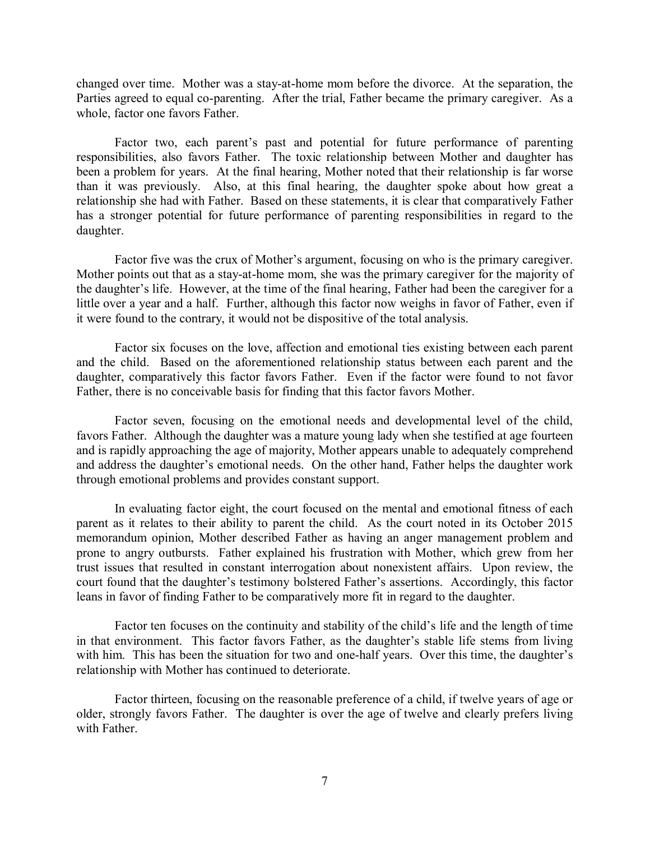changed over time. Mother was a stay-at-home mom before the divorce. At the separation, the Parties agreed to equal co-parenting. After the trial, Father became the primary caregiver. As a whole, factor one favors Father.

Factor two, each parent's past and potential for future performance of parenting responsibilities, also favors Father. The toxic relationship between Mother and daughter has been a problem for years. At the final hearing, Mother noted that their relationship is far worse than it was previously. Also, at this final hearing, the daughter spoke about how great a relationship she had with Father. Based on these statements, it is clear that comparatively Father has a stronger potential for future performance of parenting responsibilities in regard to the daughter.

Factor five was the crux of Mother's argument, focusing on who is the primary caregiver. Mother points out that as a stay-at-home mom, she was the primary caregiver for the majority of the daughter's life. However, at the time of the final hearing, Father had been the caregiver for a little over a year and a half. Further, although this factor now weighs in favor of Father, even if it were found to the contrary, it would not be dispositive of the total analysis.

Factor six focuses on the love, affection and emotional ties existing between each parent and the child. Based on the aforementioned relationship status between each parent and the daughter, comparatively this factor favors Father. Even if the factor were found to not favor Father, there is no conceivable basis for finding that this factor favors Mother.

Factor seven, focusing on the emotional needs and developmental level of the child, favors Father. Although the daughter was a mature young lady when she testified at age fourteen and is rapidly approaching the age of majority, Mother appears unable to adequately comprehend and address the daughter's emotional needs. On the other hand, Father helps the daughter work through emotional problems and provides constant support.

In evaluating factor eight, the court focused on the mental and emotional fitness of each parent as it relates to their ability to parent the child. As the court noted in its October 2015 memorandum opinion, Mother described Father as having an anger management problem and prone to angry outbursts. Father explained his frustration with Mother, which grew from her trust issues that resulted in constant interrogation about nonexistent affairs. Upon review, the court found that the daughter's testimony bolstered Father's assertions. Accordingly, this factor leans in favor of finding Father to be comparatively more fit in regard to the daughter.

Factor ten focuses on the continuity and stability of the child's life and the length of time in that environment. This factor favors Father, as the daughter's stable life stems from living with him. This has been the situation for two and one-half years. Over this time, the daughter's relationship with Mother has continued to deteriorate.

Factor thirteen, focusing on the reasonable preference of a child, if twelve years of age or older, strongly favors Father. The daughter is over the age of twelve and clearly prefers living with Father.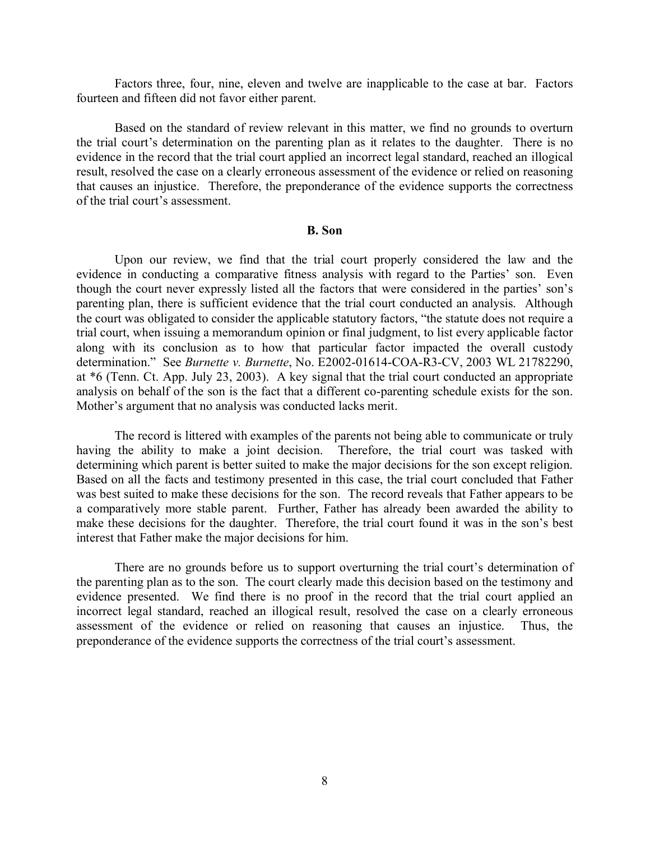Factors three, four, nine, eleven and twelve are inapplicable to the case at bar. Factors fourteen and fifteen did not favor either parent.

Based on the standard of review relevant in this matter, we find no grounds to overturn the trial court's determination on the parenting plan as it relates to the daughter. There is no evidence in the record that the trial court applied an incorrect legal standard, reached an illogical result, resolved the case on a clearly erroneous assessment of the evidence or relied on reasoning that causes an injustice. Therefore, the preponderance of the evidence supports the correctness of the trial court's assessment.

#### **B. Son**

Upon our review, we find that the trial court properly considered the law and the evidence in conducting a comparative fitness analysis with regard to the Parties' son. Even though the court never expressly listed all the factors that were considered in the parties' son's parenting plan, there is sufficient evidence that the trial court conducted an analysis. Although the court was obligated to consider the applicable statutory factors, "the statute does not require a trial court, when issuing a memorandum opinion or final judgment, to list every applicable factor along with its conclusion as to how that particular factor impacted the overall custody determination." See *Burnette v. Burnette*, No. E2002-01614-COA-R3-CV, 2003 WL 21782290, at \*6 (Tenn. Ct. App. July 23, 2003). A key signal that the trial court conducted an appropriate analysis on behalf of the son is the fact that a different co-parenting schedule exists for the son. Mother's argument that no analysis was conducted lacks merit.

The record is littered with examples of the parents not being able to communicate or truly having the ability to make a joint decision. Therefore, the trial court was tasked with determining which parent is better suited to make the major decisions for the son except religion. Based on all the facts and testimony presented in this case, the trial court concluded that Father was best suited to make these decisions for the son. The record reveals that Father appears to be a comparatively more stable parent. Further, Father has already been awarded the ability to make these decisions for the daughter. Therefore, the trial court found it was in the son's best interest that Father make the major decisions for him.

There are no grounds before us to support overturning the trial court's determination of the parenting plan as to the son. The court clearly made this decision based on the testimony and evidence presented. We find there is no proof in the record that the trial court applied an incorrect legal standard, reached an illogical result, resolved the case on a clearly erroneous assessment of the evidence or relied on reasoning that causes an injustice. Thus, the preponderance of the evidence supports the correctness of the trial court's assessment.